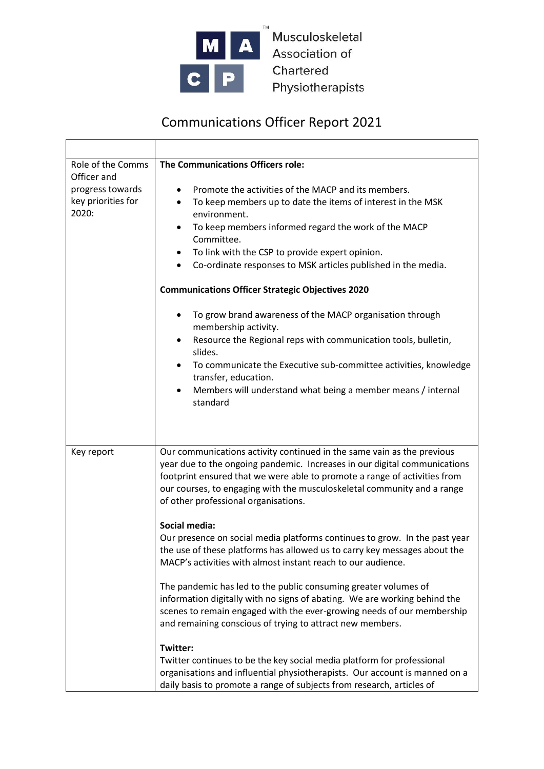

Musculoskeletal Association of Chartered Physiotherapists

## Communications Officer Report 2021

| Role of the Comms<br>Officer and<br>progress towards<br>key priorities for<br>2020: | The Communications Officers role:<br>Promote the activities of the MACP and its members.<br>To keep members up to date the items of interest in the MSK<br>٠<br>environment.<br>To keep members informed regard the work of the MACP<br>$\bullet$<br>Committee.<br>To link with the CSP to provide expert opinion.<br>٠<br>Co-ordinate responses to MSK articles published in the media.<br>$\bullet$<br><b>Communications Officer Strategic Objectives 2020</b><br>To grow brand awareness of the MACP organisation through<br>٠<br>membership activity.<br>Resource the Regional reps with communication tools, bulletin,<br>slides.<br>To communicate the Executive sub-committee activities, knowledge<br>transfer, education.<br>Members will understand what being a member means / internal<br>$\bullet$<br>standard                                                                                                                                                                                                                                                                                                         |
|-------------------------------------------------------------------------------------|-------------------------------------------------------------------------------------------------------------------------------------------------------------------------------------------------------------------------------------------------------------------------------------------------------------------------------------------------------------------------------------------------------------------------------------------------------------------------------------------------------------------------------------------------------------------------------------------------------------------------------------------------------------------------------------------------------------------------------------------------------------------------------------------------------------------------------------------------------------------------------------------------------------------------------------------------------------------------------------------------------------------------------------------------------------------------------------------------------------------------------------|
| Key report                                                                          | Our communications activity continued in the same vain as the previous<br>year due to the ongoing pandemic. Increases in our digital communications<br>footprint ensured that we were able to promote a range of activities from<br>our courses, to engaging with the musculoskeletal community and a range<br>of other professional organisations.<br>Social media:<br>Our presence on social media platforms continues to grow. In the past year<br>the use of these platforms has allowed us to carry key messages about the<br>MACP's activities with almost instant reach to our audience.<br>The pandemic has led to the public consuming greater volumes of<br>information digitally with no signs of abating. We are working behind the<br>scenes to remain engaged with the ever-growing needs of our membership<br>and remaining conscious of trying to attract new members.<br>Twitter:<br>Twitter continues to be the key social media platform for professional<br>organisations and influential physiotherapists. Our account is manned on a<br>daily basis to promote a range of subjects from research, articles of |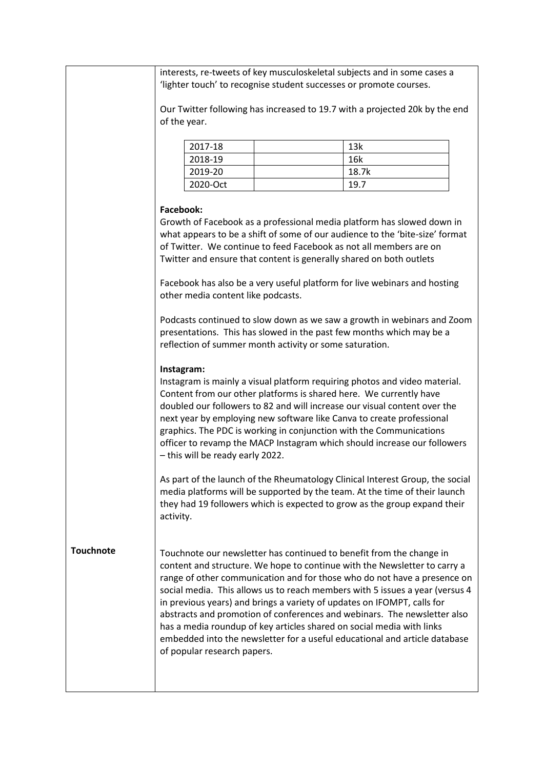|                  | interests, re-tweets of key musculoskeletal subjects and in some cases a<br>'lighter touch' to recognise student successes or promote courses. |  |                                                                                                                                                                                                                                                                                                                                                                                                                                                                                                                                                                                                                             |  |
|------------------|------------------------------------------------------------------------------------------------------------------------------------------------|--|-----------------------------------------------------------------------------------------------------------------------------------------------------------------------------------------------------------------------------------------------------------------------------------------------------------------------------------------------------------------------------------------------------------------------------------------------------------------------------------------------------------------------------------------------------------------------------------------------------------------------------|--|
|                  |                                                                                                                                                |  | Our Twitter following has increased to 19.7 with a projected 20k by the end                                                                                                                                                                                                                                                                                                                                                                                                                                                                                                                                                 |  |
|                  | of the year.                                                                                                                                   |  |                                                                                                                                                                                                                                                                                                                                                                                                                                                                                                                                                                                                                             |  |
|                  | 2017-18                                                                                                                                        |  | 13k                                                                                                                                                                                                                                                                                                                                                                                                                                                                                                                                                                                                                         |  |
|                  | 2018-19                                                                                                                                        |  | 16k                                                                                                                                                                                                                                                                                                                                                                                                                                                                                                                                                                                                                         |  |
|                  | 2019-20                                                                                                                                        |  | 18.7k                                                                                                                                                                                                                                                                                                                                                                                                                                                                                                                                                                                                                       |  |
|                  | 2020-Oct                                                                                                                                       |  | 19.7                                                                                                                                                                                                                                                                                                                                                                                                                                                                                                                                                                                                                        |  |
|                  | <b>Facebook:</b><br>Twitter and ensure that content is generally shared on both outlets                                                        |  | Growth of Facebook as a professional media platform has slowed down in<br>what appears to be a shift of some of our audience to the 'bite-size' format<br>of Twitter. We continue to feed Facebook as not all members are on                                                                                                                                                                                                                                                                                                                                                                                                |  |
|                  | other media content like podcasts.                                                                                                             |  | Facebook has also be a very useful platform for live webinars and hosting                                                                                                                                                                                                                                                                                                                                                                                                                                                                                                                                                   |  |
|                  | reflection of summer month activity or some saturation.                                                                                        |  | Podcasts continued to slow down as we saw a growth in webinars and Zoom<br>presentations. This has slowed in the past few months which may be a                                                                                                                                                                                                                                                                                                                                                                                                                                                                             |  |
|                  | Instagram:<br>- this will be ready early 2022.                                                                                                 |  | Instagram is mainly a visual platform requiring photos and video material.<br>Content from our other platforms is shared here. We currently have<br>doubled our followers to 82 and will increase our visual content over the<br>next year by employing new software like Canva to create professional<br>graphics. The PDC is working in conjunction with the Communications<br>officer to revamp the MACP Instagram which should increase our followers                                                                                                                                                                   |  |
|                  | activity.                                                                                                                                      |  | As part of the launch of the Rheumatology Clinical Interest Group, the social<br>media platforms will be supported by the team. At the time of their launch<br>they had 19 followers which is expected to grow as the group expand their                                                                                                                                                                                                                                                                                                                                                                                    |  |
| <b>Touchnote</b> | of popular research papers.                                                                                                                    |  | Touchnote our newsletter has continued to benefit from the change in<br>content and structure. We hope to continue with the Newsletter to carry a<br>range of other communication and for those who do not have a presence on<br>social media. This allows us to reach members with 5 issues a year (versus 4<br>in previous years) and brings a variety of updates on IFOMPT, calls for<br>abstracts and promotion of conferences and webinars. The newsletter also<br>has a media roundup of key articles shared on social media with links<br>embedded into the newsletter for a useful educational and article database |  |